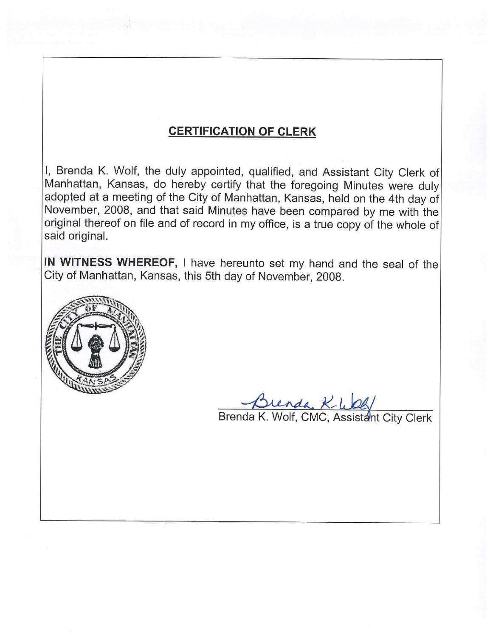## **CERTIFICATION OF CLERK**

I, Brenda K. Wolf, the duly appointed, qualified, and Assistant City Clerk of Manhattan, Kansas, do hereby certify that the foregoing Minutes were duly adopted at a meeting of the City of Manhattan, Kansas, held on the 4th day of November, 2008, and that said Minutes have been compared by me with the original thereof on file and of record in my office, is a true copy of the whole of said original.

IN WITNESS WHEREOF, I have hereunto set my hand and the seal of the City of Manhattan, Kansas, this 5th day of November, 2008.



Brenda K-WOG/<br>Brenda K. Wolf, CMC, Assistant City Clerk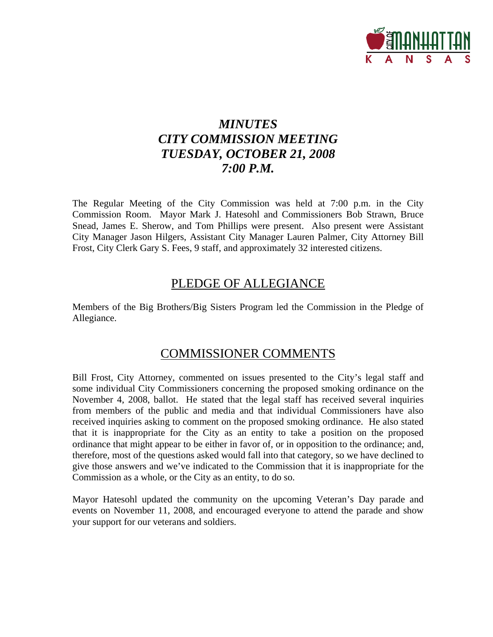

# *MINUTES CITY COMMISSION MEETING TUESDAY, OCTOBER 21, 2008 7:00 P.M.*

The Regular Meeting of the City Commission was held at 7:00 p.m. in the City Commission Room. Mayor Mark J. Hatesohl and Commissioners Bob Strawn, Bruce Snead, James E. Sherow, and Tom Phillips were present. Also present were Assistant City Manager Jason Hilgers, Assistant City Manager Lauren Palmer, City Attorney Bill Frost, City Clerk Gary S. Fees, 9 staff, and approximately 32 interested citizens.

## PLEDGE OF ALLEGIANCE

Members of the Big Brothers/Big Sisters Program led the Commission in the Pledge of Allegiance.

## COMMISSIONER COMMENTS

Bill Frost, City Attorney, commented on issues presented to the City's legal staff and some individual City Commissioners concerning the proposed smoking ordinance on the November 4, 2008, ballot. He stated that the legal staff has received several inquiries from members of the public and media and that individual Commissioners have also received inquiries asking to comment on the proposed smoking ordinance. He also stated that it is inappropriate for the City as an entity to take a position on the proposed ordinance that might appear to be either in favor of, or in opposition to the ordinance; and, therefore, most of the questions asked would fall into that category, so we have declined to give those answers and we've indicated to the Commission that it is inappropriate for the Commission as a whole, or the City as an entity, to do so.

Mayor Hatesohl updated the community on the upcoming Veteran's Day parade and events on November 11, 2008, and encouraged everyone to attend the parade and show your support for our veterans and soldiers.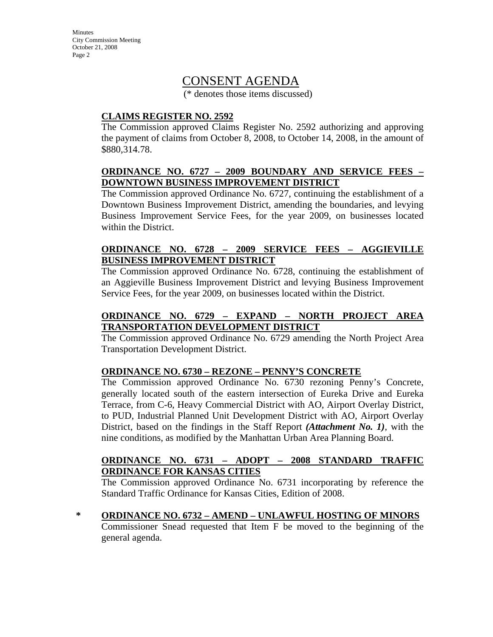**Minutes** City Commission Meeting October 21, 2008 Page 2

### CONSENT AGENDA

(\* denotes those items discussed)

#### **CLAIMS REGISTER NO. 2592**

The Commission approved Claims Register No. 2592 authorizing and approving the payment of claims from October 8, 2008, to October 14, 2008, in the amount of \$880,314.78.

#### **ORDINANCE NO. 6727 – 2009 BOUNDARY AND SERVICE FEES – DOWNTOWN BUSINESS IMPROVEMENT DISTRICT**

The Commission approved Ordinance No. 6727, continuing the establishment of a Downtown Business Improvement District, amending the boundaries, and levying Business Improvement Service Fees, for the year 2009, on businesses located within the District.

#### **ORDINANCE NO. 6728 – 2009 SERVICE FEES – AGGIEVILLE BUSINESS IMPROVEMENT DISTRICT**

The Commission approved Ordinance No. 6728, continuing the establishment of an Aggieville Business Improvement District and levying Business Improvement Service Fees, for the year 2009, on businesses located within the District.

### **ORDINANCE NO. 6729 – EXPAND – NORTH PROJECT AREA TRANSPORTATION DEVELOPMENT DISTRICT**

The Commission approved Ordinance No. 6729 amending the North Project Area Transportation Development District.

#### **ORDINANCE NO. 6730 – REZONE – PENNY'S CONCRETE**

The Commission approved Ordinance No. 6730 rezoning Penny's Concrete, generally located south of the eastern intersection of Eureka Drive and Eureka Terrace, from C-6, Heavy Commercial District with AO, Airport Overlay District, to PUD, Industrial Planned Unit Development District with AO, Airport Overlay District, based on the findings in the Staff Report *(Attachment No. 1)*, with the nine conditions, as modified by the Manhattan Urban Area Planning Board.

#### **ORDINANCE NO. 6731 – ADOPT – 2008 STANDARD TRAFFIC ORDINANCE FOR KANSAS CITIES**

The Commission approved Ordinance No. 6731 incorporating by reference the Standard Traffic Ordinance for Kansas Cities, Edition of 2008.

**\* ORDINANCE NO. 6732 – AMEND – UNLAWFUL HOSTING OF MINORS** Commissioner Snead requested that Item F be moved to the beginning of the general agenda.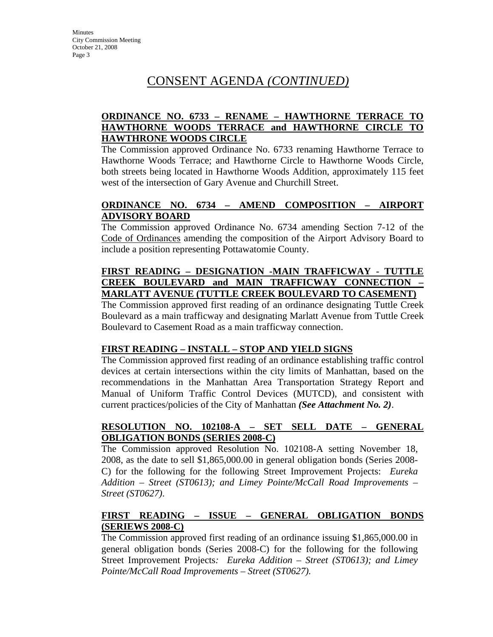# CONSENT AGENDA *(CONTINUED)*

#### **ORDINANCE NO. 6733 – RENAME – HAWTHORNE TERRACE TO HAWTHORNE WOODS TERRACE and HAWTHORNE CIRCLE TO HAWTHRONE WOODS CIRCLE**

The Commission approved Ordinance No. 6733 renaming Hawthorne Terrace to Hawthorne Woods Terrace; and Hawthorne Circle to Hawthorne Woods Circle, both streets being located in Hawthorne Woods Addition, approximately 115 feet west of the intersection of Gary Avenue and Churchill Street.

#### **ORDINANCE NO. 6734 – AMEND COMPOSITION – AIRPORT ADVISORY BOARD**

The Commission approved Ordinance No. 6734 amending Section 7-12 of the Code of Ordinances amending the composition of the Airport Advisory Board to include a position representing Pottawatomie County.

#### **FIRST READING – DESIGNATION -MAIN TRAFFICWAY - TUTTLE CREEK BOULEVARD and MAIN TRAFFICWAY CONNECTION – MARLATT AVENUE (TUTTLE CREEK BOULEVARD TO CASEMENT)**

The Commission approved first reading of an ordinance designating Tuttle Creek Boulevard as a main trafficway and designating Marlatt Avenue from Tuttle Creek Boulevard to Casement Road as a main trafficway connection.

#### **FIRST READING – INSTALL – STOP AND YIELD SIGNS**

The Commission approved first reading of an ordinance establishing traffic control devices at certain intersections within the city limits of Manhattan, based on the recommendations in the Manhattan Area Transportation Strategy Report and Manual of Uniform Traffic Control Devices (MUTCD), and consistent with current practices/policies of the City of Manhattan *(See Attachment No. 2)*.

#### **RESOLUTION NO. 102108-A – SET SELL DATE – GENERAL OBLIGATION BONDS (SERIES 2008-C)**

The Commission approved Resolution No. 102108-A setting November 18, 2008, as the date to sell \$1,865,000.00 in general obligation bonds (Series 2008- C) for the following for the following Street Improvement Projects: *Eureka Addition – Street (ST0613); and Limey Pointe/McCall Road Improvements – Street (ST0627)*.

### **FIRST READING – ISSUE – GENERAL OBLIGATION BONDS (SERIEWS 2008-C)**

The Commission approved first reading of an ordinance issuing \$1,865,000.00 in general obligation bonds (Series 2008-C) for the following for the following Street Improvement Projects*: Eureka Addition – Street (ST0613); and Limey Pointe/McCall Road Improvements – Street (ST0627).*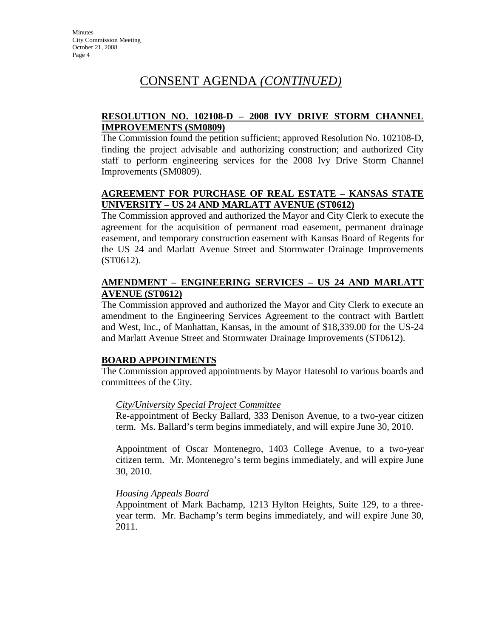# CONSENT AGENDA *(CONTINUED)*

#### **RESOLUTION NO. 102108-D – 2008 IVY DRIVE STORM CHANNEL IMPROVEMENTS (SM0809)**

The Commission found the petition sufficient; approved Resolution No. 102108-D, finding the project advisable and authorizing construction; and authorized City staff to perform engineering services for the 2008 Ivy Drive Storm Channel Improvements (SM0809).

#### **AGREEMENT FOR PURCHASE OF REAL ESTATE – KANSAS STATE UNIVERSITY – US 24 AND MARLATT AVENUE (ST0612)**

The Commission approved and authorized the Mayor and City Clerk to execute the agreement for the acquisition of permanent road easement, permanent drainage easement, and temporary construction easement with Kansas Board of Regents for the US 24 and Marlatt Avenue Street and Stormwater Drainage Improvements (ST0612).

#### **AMENDMENT – ENGINEERING SERVICES – US 24 AND MARLATT AVENUE (ST0612)**

The Commission approved and authorized the Mayor and City Clerk to execute an amendment to the Engineering Services Agreement to the contract with Bartlett and West, Inc., of Manhattan, Kansas, in the amount of \$18,339.00 for the US-24 and Marlatt Avenue Street and Stormwater Drainage Improvements (ST0612).

### **BOARD APPOINTMENTS**

The Commission approved appointments by Mayor Hatesohl to various boards and committees of the City.

#### *City/University Special Project Committee*

Re-appointment of Becky Ballard, 333 Denison Avenue, to a two-year citizen term. Ms. Ballard's term begins immediately, and will expire June 30, 2010.

Appointment of Oscar Montenegro, 1403 College Avenue, to a two-year citizen term. Mr. Montenegro's term begins immediately, and will expire June 30, 2010.

#### *Housing Appeals Board*

Appointment of Mark Bachamp, 1213 Hylton Heights, Suite 129, to a threeyear term. Mr. Bachamp's term begins immediately, and will expire June 30, 2011.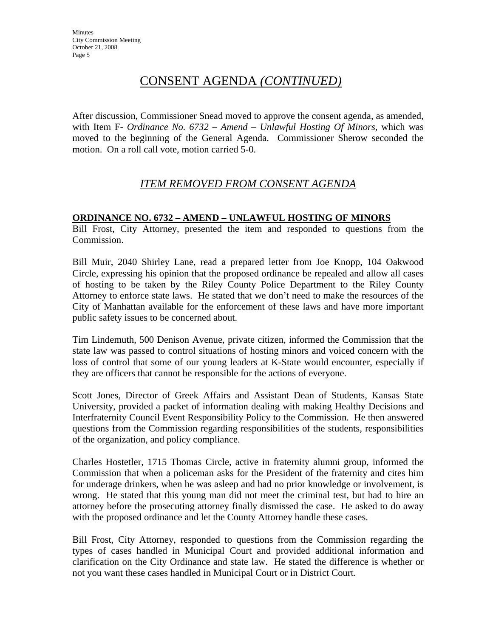# CONSENT AGENDA *(CONTINUED)*

After discussion, Commissioner Snead moved to approve the consent agenda, as amended, with Item F- Ordinance No. 6732 – Amend – Unlawful Hosting Of Minors, which was moved to the beginning of the General Agenda. Commissioner Sherow seconded the motion. On a roll call vote, motion carried 5-0.

### *ITEM REMOVED FROM CONSENT AGENDA*

#### **ORDINANCE NO. 6732 – AMEND – UNLAWFUL HOSTING OF MINORS**

Bill Frost, City Attorney, presented the item and responded to questions from the Commission.

Bill Muir, 2040 Shirley Lane, read a prepared letter from Joe Knopp, 104 Oakwood Circle, expressing his opinion that the proposed ordinance be repealed and allow all cases of hosting to be taken by the Riley County Police Department to the Riley County Attorney to enforce state laws. He stated that we don't need to make the resources of the City of Manhattan available for the enforcement of these laws and have more important public safety issues to be concerned about.

Tim Lindemuth, 500 Denison Avenue, private citizen, informed the Commission that the state law was passed to control situations of hosting minors and voiced concern with the loss of control that some of our young leaders at K-State would encounter, especially if they are officers that cannot be responsible for the actions of everyone.

Scott Jones, Director of Greek Affairs and Assistant Dean of Students, Kansas State University, provided a packet of information dealing with making Healthy Decisions and Interfraternity Council Event Responsibility Policy to the Commission. He then answered questions from the Commission regarding responsibilities of the students, responsibilities of the organization, and policy compliance.

Charles Hostetler, 1715 Thomas Circle, active in fraternity alumni group, informed the Commission that when a policeman asks for the President of the fraternity and cites him for underage drinkers, when he was asleep and had no prior knowledge or involvement, is wrong. He stated that this young man did not meet the criminal test, but had to hire an attorney before the prosecuting attorney finally dismissed the case. He asked to do away with the proposed ordinance and let the County Attorney handle these cases.

Bill Frost, City Attorney, responded to questions from the Commission regarding the types of cases handled in Municipal Court and provided additional information and clarification on the City Ordinance and state law. He stated the difference is whether or not you want these cases handled in Municipal Court or in District Court.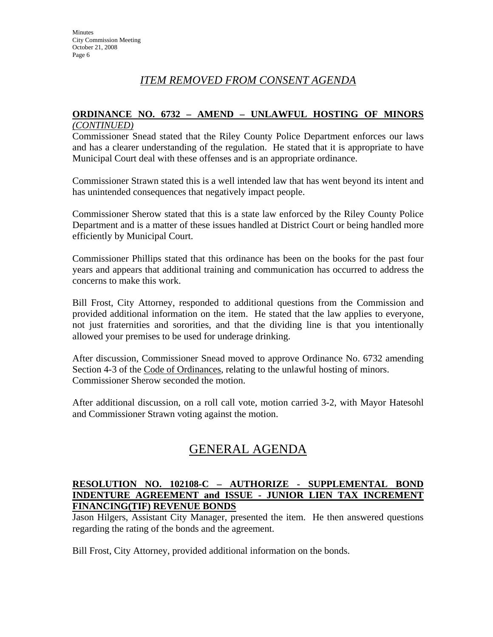### *ITEM REMOVED FROM CONSENT AGENDA*

#### **ORDINANCE NO. 6732 – AMEND – UNLAWFUL HOSTING OF MINORS** *(CONTINUED)*

Commissioner Snead stated that the Riley County Police Department enforces our laws and has a clearer understanding of the regulation. He stated that it is appropriate to have Municipal Court deal with these offenses and is an appropriate ordinance.

Commissioner Strawn stated this is a well intended law that has went beyond its intent and has unintended consequences that negatively impact people.

Commissioner Sherow stated that this is a state law enforced by the Riley County Police Department and is a matter of these issues handled at District Court or being handled more efficiently by Municipal Court.

Commissioner Phillips stated that this ordinance has been on the books for the past four years and appears that additional training and communication has occurred to address the concerns to make this work.

Bill Frost, City Attorney, responded to additional questions from the Commission and provided additional information on the item. He stated that the law applies to everyone, not just fraternities and sororities, and that the dividing line is that you intentionally allowed your premises to be used for underage drinking.

After discussion, Commissioner Snead moved to approve Ordinance No. 6732 amending Section 4-3 of the Code of Ordinances, relating to the unlawful hosting of minors. Commissioner Sherow seconded the motion.

After additional discussion, on a roll call vote, motion carried 3-2, with Mayor Hatesohl and Commissioner Strawn voting against the motion.

# GENERAL AGENDA

#### **RESOLUTION NO. 102108-C – AUTHORIZE - SUPPLEMENTAL BOND INDENTURE AGREEMENT and ISSUE - JUNIOR LIEN TAX INCREMENT FINANCING(TIF) REVENUE BONDS**

Jason Hilgers, Assistant City Manager, presented the item. He then answered questions regarding the rating of the bonds and the agreement.

Bill Frost, City Attorney, provided additional information on the bonds.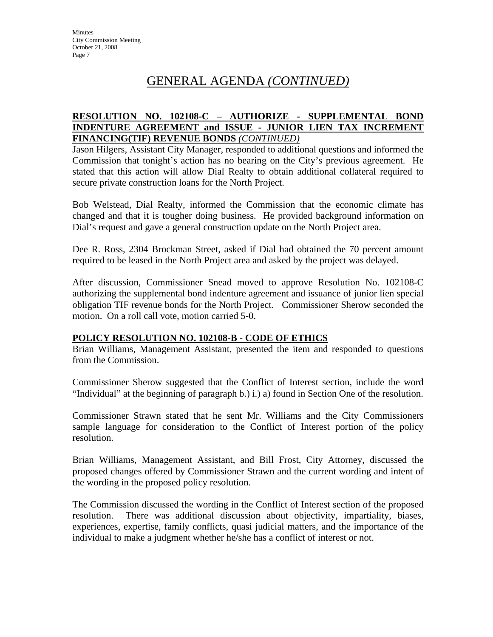# GENERAL AGENDA *(CONTINUED)*

#### **RESOLUTION NO. 102108-C – AUTHORIZE - SUPPLEMENTAL BOND INDENTURE AGREEMENT and ISSUE - JUNIOR LIEN TAX INCREMENT FINANCING(TIF) REVENUE BONDS** *(CONTINUED)*

Jason Hilgers, Assistant City Manager, responded to additional questions and informed the Commission that tonight's action has no bearing on the City's previous agreement. He stated that this action will allow Dial Realty to obtain additional collateral required to secure private construction loans for the North Project.

Bob Welstead, Dial Realty, informed the Commission that the economic climate has changed and that it is tougher doing business. He provided background information on Dial's request and gave a general construction update on the North Project area.

Dee R. Ross, 2304 Brockman Street, asked if Dial had obtained the 70 percent amount required to be leased in the North Project area and asked by the project was delayed.

After discussion, Commissioner Snead moved to approve Resolution No. 102108-C authorizing the supplemental bond indenture agreement and issuance of junior lien special obligation TIF revenue bonds for the North Project. Commissioner Sherow seconded the motion. On a roll call vote, motion carried 5-0.

#### **POLICY RESOLUTION NO. 102108-B - CODE OF ETHICS**

Brian Williams, Management Assistant, presented the item and responded to questions from the Commission.

Commissioner Sherow suggested that the Conflict of Interest section, include the word "Individual" at the beginning of paragraph b.) i.) a) found in Section One of the resolution.

Commissioner Strawn stated that he sent Mr. Williams and the City Commissioners sample language for consideration to the Conflict of Interest portion of the policy resolution.

Brian Williams, Management Assistant, and Bill Frost, City Attorney, discussed the proposed changes offered by Commissioner Strawn and the current wording and intent of the wording in the proposed policy resolution.

The Commission discussed the wording in the Conflict of Interest section of the proposed resolution. There was additional discussion about objectivity, impartiality, biases, experiences, expertise, family conflicts, quasi judicial matters, and the importance of the individual to make a judgment whether he/she has a conflict of interest or not.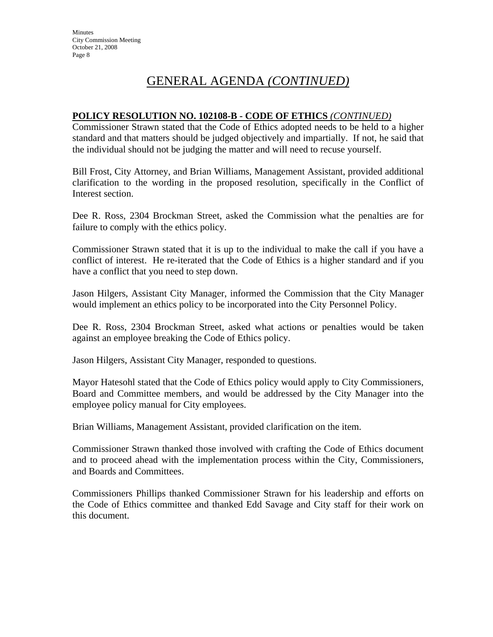# GENERAL AGENDA *(CONTINUED)*

#### **POLICY RESOLUTION NO. 102108-B - CODE OF ETHICS** *(CONTINUED)*

Commissioner Strawn stated that the Code of Ethics adopted needs to be held to a higher standard and that matters should be judged objectively and impartially. If not, he said that the individual should not be judging the matter and will need to recuse yourself.

Bill Frost, City Attorney, and Brian Williams, Management Assistant, provided additional clarification to the wording in the proposed resolution, specifically in the Conflict of Interest section.

Dee R. Ross, 2304 Brockman Street, asked the Commission what the penalties are for failure to comply with the ethics policy.

Commissioner Strawn stated that it is up to the individual to make the call if you have a conflict of interest. He re-iterated that the Code of Ethics is a higher standard and if you have a conflict that you need to step down.

Jason Hilgers, Assistant City Manager, informed the Commission that the City Manager would implement an ethics policy to be incorporated into the City Personnel Policy.

Dee R. Ross, 2304 Brockman Street, asked what actions or penalties would be taken against an employee breaking the Code of Ethics policy.

Jason Hilgers, Assistant City Manager, responded to questions.

Mayor Hatesohl stated that the Code of Ethics policy would apply to City Commissioners, Board and Committee members, and would be addressed by the City Manager into the employee policy manual for City employees.

Brian Williams, Management Assistant, provided clarification on the item.

Commissioner Strawn thanked those involved with crafting the Code of Ethics document and to proceed ahead with the implementation process within the City, Commissioners, and Boards and Committees.

Commissioners Phillips thanked Commissioner Strawn for his leadership and efforts on the Code of Ethics committee and thanked Edd Savage and City staff for their work on this document.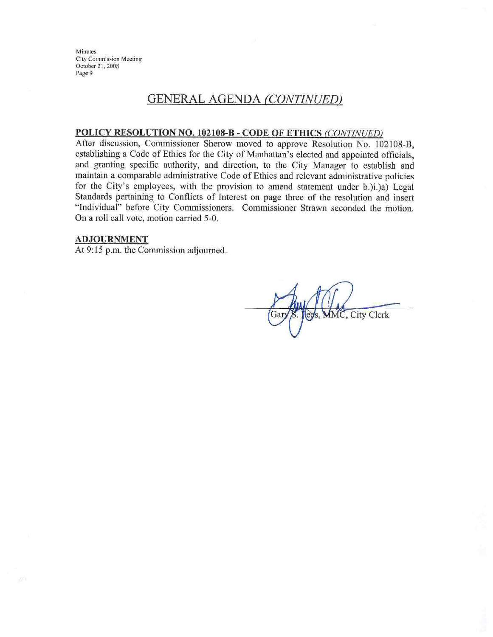Minutes **City Commission Meeting** October 21, 2008 Page 9

### **GENERAL AGENDA (CONTINUED)**

#### POLICY RESOLUTION NO. 102108-B - CODE OF ETHICS (CONTINUED)

After discussion, Commissioner Sherow moved to approve Resolution No. 102108-B. establishing a Code of Ethics for the City of Manhattan's elected and appointed officials, and granting specific authority, and direction, to the City Manager to establish and maintain a comparable administrative Code of Ethics and relevant administrative policies for the City's employees, with the provision to amend statement under b.)i.)a) Legal Standards pertaining to Conflicts of Interest on page three of the resolution and insert "Individual" before City Commissioners. Commissioner Strawn seconded the motion. On a roll call vote, motion carried 5-0.

#### **ADJOURNMENT**

At 9:15 p.m. the Commission adjourned.

**City Clerk**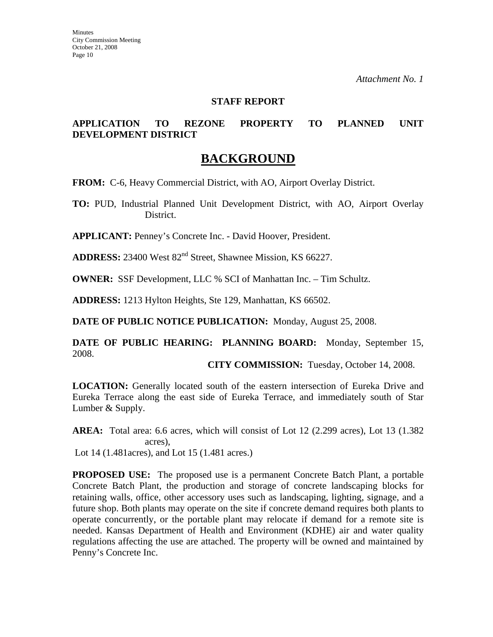#### **STAFF REPORT**

#### **APPLICATION TO REZONE PROPERTY TO PLANNED UNIT DEVELOPMENT DISTRICT**

### **BACKGROUND**

**FROM:** C-6, Heavy Commercial District, with AO, Airport Overlay District.

**TO:** PUD, Industrial Planned Unit Development District, with AO, Airport Overlay District.

**APPLICANT:** Penney's Concrete Inc. - David Hoover, President.

**ADDRESS:** 23400 West 82<sup>nd</sup> Street, Shawnee Mission, KS 66227.

**OWNER:** SSF Development, LLC % SCI of Manhattan Inc. – Tim Schultz.

**ADDRESS:** 1213 Hylton Heights, Ste 129, Manhattan, KS 66502.

**DATE OF PUBLIC NOTICE PUBLICATION:** Monday, August 25, 2008.

**DATE OF PUBLIC HEARING: PLANNING BOARD:** Monday, September 15, 2008.

**CITY COMMISSION:** Tuesday, October 14, 2008.

**LOCATION:** Generally located south of the eastern intersection of Eureka Drive and Eureka Terrace along the east side of Eureka Terrace, and immediately south of Star Lumber & Supply.

**AREA:** Total area: 6.6 acres, which will consist of Lot 12 (2.299 acres), Lot 13 (1.382 acres),

Lot 14 (1.481acres), and Lot 15 (1.481 acres.)

**PROPOSED USE:** The proposed use is a permanent Concrete Batch Plant, a portable Concrete Batch Plant, the production and storage of concrete landscaping blocks for retaining walls, office, other accessory uses such as landscaping, lighting, signage, and a future shop. Both plants may operate on the site if concrete demand requires both plants to operate concurrently, or the portable plant may relocate if demand for a remote site is needed. Kansas Department of Health and Environment (KDHE) air and water quality regulations affecting the use are attached. The property will be owned and maintained by Penny's Concrete Inc.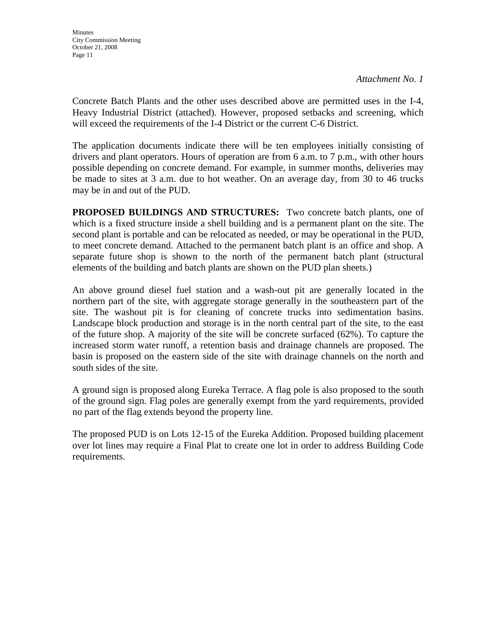Concrete Batch Plants and the other uses described above are permitted uses in the I-4, Heavy Industrial District (attached). However, proposed setbacks and screening, which will exceed the requirements of the I-4 District or the current C-6 District.

The application documents indicate there will be ten employees initially consisting of drivers and plant operators. Hours of operation are from 6 a.m. to 7 p.m., with other hours possible depending on concrete demand. For example, in summer months, deliveries may be made to sites at 3 a.m. due to hot weather. On an average day, from 30 to 46 trucks may be in and out of the PUD.

**PROPOSED BUILDINGS AND STRUCTURES:** Two concrete batch plants, one of which is a fixed structure inside a shell building and is a permanent plant on the site. The second plant is portable and can be relocated as needed, or may be operational in the PUD, to meet concrete demand. Attached to the permanent batch plant is an office and shop. A separate future shop is shown to the north of the permanent batch plant (structural elements of the building and batch plants are shown on the PUD plan sheets.)

An above ground diesel fuel station and a wash-out pit are generally located in the northern part of the site, with aggregate storage generally in the southeastern part of the site. The washout pit is for cleaning of concrete trucks into sedimentation basins. Landscape block production and storage is in the north central part of the site, to the east of the future shop. A majority of the site will be concrete surfaced (62%). To capture the increased storm water runoff, a retention basis and drainage channels are proposed. The basin is proposed on the eastern side of the site with drainage channels on the north and south sides of the site.

A ground sign is proposed along Eureka Terrace. A flag pole is also proposed to the south of the ground sign. Flag poles are generally exempt from the yard requirements, provided no part of the flag extends beyond the property line.

The proposed PUD is on Lots 12-15 of the Eureka Addition. Proposed building placement over lot lines may require a Final Plat to create one lot in order to address Building Code requirements.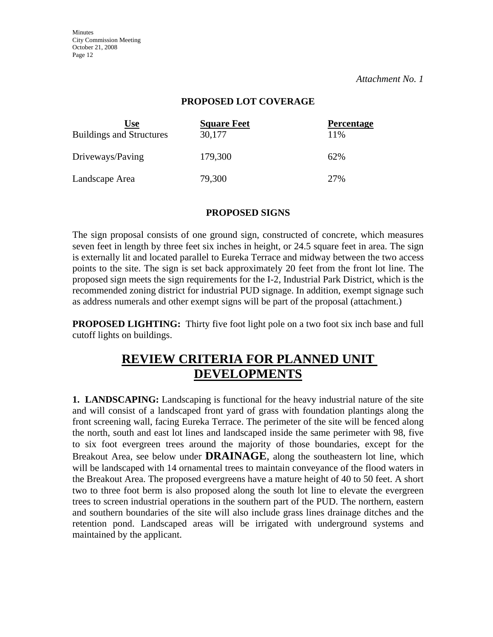**Minutes** City Commission Meeting October 21, 2008 Page 12

*Attachment No. 1* 

#### **PROPOSED LOT COVERAGE**

| Use<br><b>Buildings and Structures</b> | <b>Square Feet</b><br>30,177 | <b>Percentage</b><br>11% |
|----------------------------------------|------------------------------|--------------------------|
| Driveways/Paving                       | 179,300                      | 62%                      |
| Landscape Area                         | 79,300                       | 27%                      |

#### **PROPOSED SIGNS**

The sign proposal consists of one ground sign, constructed of concrete, which measures seven feet in length by three feet six inches in height, or 24.5 square feet in area. The sign is externally lit and located parallel to Eureka Terrace and midway between the two access points to the site. The sign is set back approximately 20 feet from the front lot line. The proposed sign meets the sign requirements for the I-2, Industrial Park District, which is the recommended zoning district for industrial PUD signage. In addition, exempt signage such as address numerals and other exempt signs will be part of the proposal (attachment.)

**PROPOSED LIGHTING:** Thirty five foot light pole on a two foot six inch base and full cutoff lights on buildings.

## **REVIEW CRITERIA FOR PLANNED UNIT DEVELOPMENTS**

**1. LANDSCAPING:** Landscaping is functional for the heavy industrial nature of the site and will consist of a landscaped front yard of grass with foundation plantings along the front screening wall, facing Eureka Terrace. The perimeter of the site will be fenced along the north, south and east lot lines and landscaped inside the same perimeter with 98, five to six foot evergreen trees around the majority of those boundaries, except for the Breakout Area, see below under **DRAINAGE**, along the southeastern lot line, which will be landscaped with 14 ornamental trees to maintain conveyance of the flood waters in the Breakout Area. The proposed evergreens have a mature height of 40 to 50 feet. A short two to three foot berm is also proposed along the south lot line to elevate the evergreen trees to screen industrial operations in the southern part of the PUD. The northern, eastern and southern boundaries of the site will also include grass lines drainage ditches and the retention pond. Landscaped areas will be irrigated with underground systems and maintained by the applicant.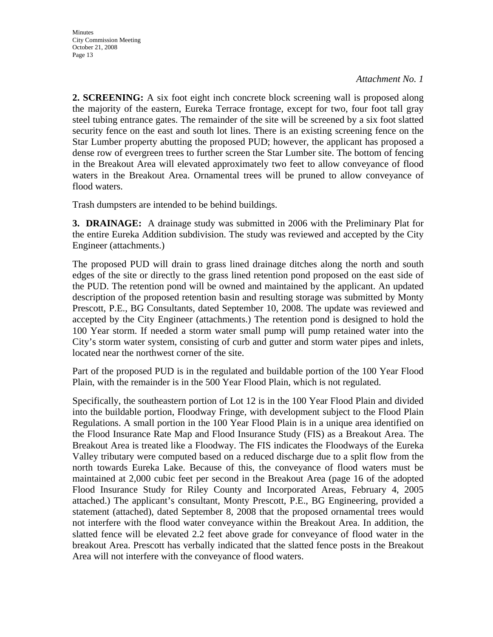**2. SCREENING:** A six foot eight inch concrete block screening wall is proposed along the majority of the eastern, Eureka Terrace frontage, except for two, four foot tall gray steel tubing entrance gates. The remainder of the site will be screened by a six foot slatted security fence on the east and south lot lines. There is an existing screening fence on the Star Lumber property abutting the proposed PUD; however, the applicant has proposed a dense row of evergreen trees to further screen the Star Lumber site. The bottom of fencing in the Breakout Area will elevated approximately two feet to allow conveyance of flood waters in the Breakout Area. Ornamental trees will be pruned to allow conveyance of flood waters.

Trash dumpsters are intended to be behind buildings.

**3. DRAINAGE:** A drainage study was submitted in 2006 with the Preliminary Plat for the entire Eureka Addition subdivision. The study was reviewed and accepted by the City Engineer (attachments.)

The proposed PUD will drain to grass lined drainage ditches along the north and south edges of the site or directly to the grass lined retention pond proposed on the east side of the PUD. The retention pond will be owned and maintained by the applicant. An updated description of the proposed retention basin and resulting storage was submitted by Monty Prescott, P.E., BG Consultants, dated September 10, 2008. The update was reviewed and accepted by the City Engineer (attachments.) The retention pond is designed to hold the 100 Year storm. If needed a storm water small pump will pump retained water into the City's storm water system, consisting of curb and gutter and storm water pipes and inlets, located near the northwest corner of the site.

Part of the proposed PUD is in the regulated and buildable portion of the 100 Year Flood Plain, with the remainder is in the 500 Year Flood Plain, which is not regulated.

Specifically, the southeastern portion of Lot 12 is in the 100 Year Flood Plain and divided into the buildable portion, Floodway Fringe, with development subject to the Flood Plain Regulations. A small portion in the 100 Year Flood Plain is in a unique area identified on the Flood Insurance Rate Map and Flood Insurance Study (FIS) as a Breakout Area. The Breakout Area is treated like a Floodway. The FIS indicates the Floodways of the Eureka Valley tributary were computed based on a reduced discharge due to a split flow from the north towards Eureka Lake. Because of this, the conveyance of flood waters must be maintained at 2,000 cubic feet per second in the Breakout Area (page 16 of the adopted Flood Insurance Study for Riley County and Incorporated Areas, February 4, 2005 attached.) The applicant's consultant, Monty Prescott, P.E., BG Engineering, provided a statement (attached), dated September 8, 2008 that the proposed ornamental trees would not interfere with the flood water conveyance within the Breakout Area. In addition, the slatted fence will be elevated 2.2 feet above grade for conveyance of flood water in the breakout Area. Prescott has verbally indicated that the slatted fence posts in the Breakout Area will not interfere with the conveyance of flood waters.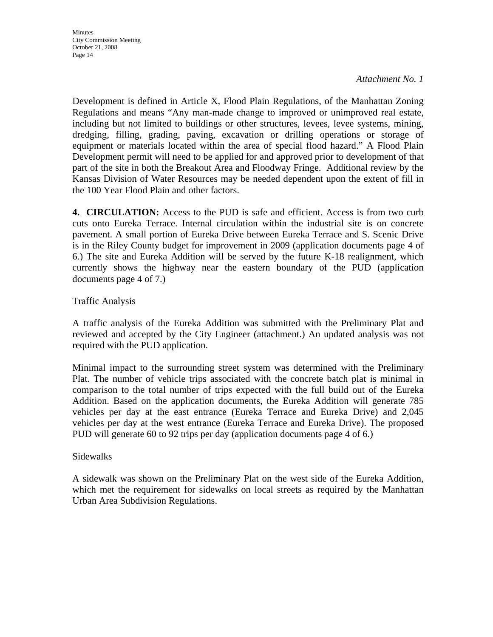Development is defined in Article X, Flood Plain Regulations, of the Manhattan Zoning Regulations and means "Any man-made change to improved or unimproved real estate, including but not limited to buildings or other structures, levees, levee systems, mining, dredging, filling, grading, paving, excavation or drilling operations or storage of equipment or materials located within the area of special flood hazard." A Flood Plain Development permit will need to be applied for and approved prior to development of that part of the site in both the Breakout Area and Floodway Fringe. Additional review by the Kansas Division of Water Resources may be needed dependent upon the extent of fill in the 100 Year Flood Plain and other factors.

**4. CIRCULATION:** Access to the PUD is safe and efficient. Access is from two curb cuts onto Eureka Terrace. Internal circulation within the industrial site is on concrete pavement. A small portion of Eureka Drive between Eureka Terrace and S. Scenic Drive is in the Riley County budget for improvement in 2009 (application documents page 4 of 6.) The site and Eureka Addition will be served by the future K-18 realignment, which currently shows the highway near the eastern boundary of the PUD (application documents page 4 of 7.)

### Traffic Analysis

A traffic analysis of the Eureka Addition was submitted with the Preliminary Plat and reviewed and accepted by the City Engineer (attachment.) An updated analysis was not required with the PUD application.

Minimal impact to the surrounding street system was determined with the Preliminary Plat. The number of vehicle trips associated with the concrete batch plat is minimal in comparison to the total number of trips expected with the full build out of the Eureka Addition. Based on the application documents, the Eureka Addition will generate 785 vehicles per day at the east entrance (Eureka Terrace and Eureka Drive) and 2,045 vehicles per day at the west entrance (Eureka Terrace and Eureka Drive). The proposed PUD will generate 60 to 92 trips per day (application documents page 4 of 6.)

#### Sidewalks

A sidewalk was shown on the Preliminary Plat on the west side of the Eureka Addition, which met the requirement for sidewalks on local streets as required by the Manhattan Urban Area Subdivision Regulations.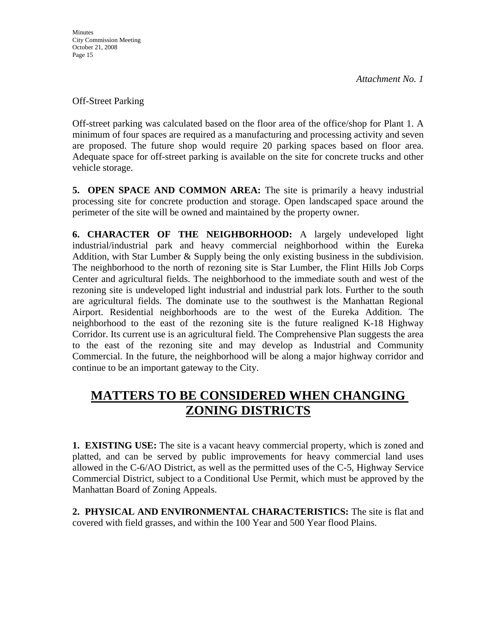Off-Street Parking

Off-street parking was calculated based on the floor area of the office/shop for Plant 1. A minimum of four spaces are required as a manufacturing and processing activity and seven are proposed. The future shop would require 20 parking spaces based on floor area. Adequate space for off-street parking is available on the site for concrete trucks and other vehicle storage.

**5. OPEN SPACE AND COMMON AREA:** The site is primarily a heavy industrial processing site for concrete production and storage. Open landscaped space around the perimeter of the site will be owned and maintained by the property owner.

**6. CHARACTER OF THE NEIGHBORHOOD:** A largely undeveloped light industrial/industrial park and heavy commercial neighborhood within the Eureka Addition, with Star Lumber & Supply being the only existing business in the subdivision. The neighborhood to the north of rezoning site is Star Lumber, the Flint Hills Job Corps Center and agricultural fields. The neighborhood to the immediate south and west of the rezoning site is undeveloped light industrial and industrial park lots. Further to the south are agricultural fields. The dominate use to the southwest is the Manhattan Regional Airport. Residential neighborhoods are to the west of the Eureka Addition. The neighborhood to the east of the rezoning site is the future realigned K-18 Highway Corridor. Its current use is an agricultural field. The Comprehensive Plan suggests the area to the east of the rezoning site and may develop as Industrial and Community Commercial. In the future, the neighborhood will be along a major highway corridor and continue to be an important gateway to the City.

# **MATTERS TO BE CONSIDERED WHEN CHANGING ZONING DISTRICTS**

**1. EXISTING USE:** The site is a vacant heavy commercial property, which is zoned and platted, and can be served by public improvements for heavy commercial land uses allowed in the C-6/AO District, as well as the permitted uses of the C-5, Highway Service Commercial District, subject to a Conditional Use Permit, which must be approved by the Manhattan Board of Zoning Appeals.

**2. PHYSICAL AND ENVIRONMENTAL CHARACTERISTICS:** The site is flat and covered with field grasses, and within the 100 Year and 500 Year flood Plains.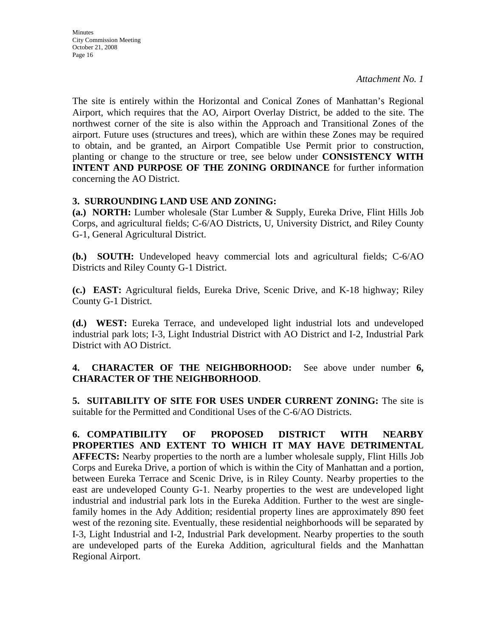The site is entirely within the Horizontal and Conical Zones of Manhattan's Regional Airport, which requires that the AO, Airport Overlay District, be added to the site. The northwest corner of the site is also within the Approach and Transitional Zones of the airport. Future uses (structures and trees), which are within these Zones may be required to obtain, and be granted, an Airport Compatible Use Permit prior to construction, planting or change to the structure or tree, see below under **CONSISTENCY WITH INTENT AND PURPOSE OF THE ZONING ORDINANCE** for further information concerning the AO District.

### **3. SURROUNDING LAND USE AND ZONING:**

**(a.) NORTH:** Lumber wholesale (Star Lumber & Supply, Eureka Drive, Flint Hills Job Corps, and agricultural fields; C-6/AO Districts, U, University District, and Riley County G-1, General Agricultural District.

**(b.) SOUTH:** Undeveloped heavy commercial lots and agricultural fields; C-6/AO Districts and Riley County G-1 District.

**(c.) EAST:** Agricultural fields, Eureka Drive, Scenic Drive, and K-18 highway; Riley County G-1 District.

**(d.) WEST:** Eureka Terrace, and undeveloped light industrial lots and undeveloped industrial park lots; I-3, Light Industrial District with AO District and I-2, Industrial Park District with AO District.

### **4. CHARACTER OF THE NEIGHBORHOOD:** See above under number **6, CHARACTER OF THE NEIGHBORHOOD**.

**5. SUITABILITY OF SITE FOR USES UNDER CURRENT ZONING:** The site is suitable for the Permitted and Conditional Uses of the C-6/AO Districts.

**6. COMPATIBILITY OF PROPOSED DISTRICT WITH NEARBY PROPERTIES AND EXTENT TO WHICH IT MAY HAVE DETRIMENTAL AFFECTS:** Nearby properties to the north are a lumber wholesale supply, Flint Hills Job Corps and Eureka Drive, a portion of which is within the City of Manhattan and a portion, between Eureka Terrace and Scenic Drive, is in Riley County. Nearby properties to the east are undeveloped County G-1. Nearby properties to the west are undeveloped light industrial and industrial park lots in the Eureka Addition. Further to the west are singlefamily homes in the Ady Addition; residential property lines are approximately 890 feet west of the rezoning site. Eventually, these residential neighborhoods will be separated by I-3, Light Industrial and I-2, Industrial Park development. Nearby properties to the south are undeveloped parts of the Eureka Addition, agricultural fields and the Manhattan Regional Airport.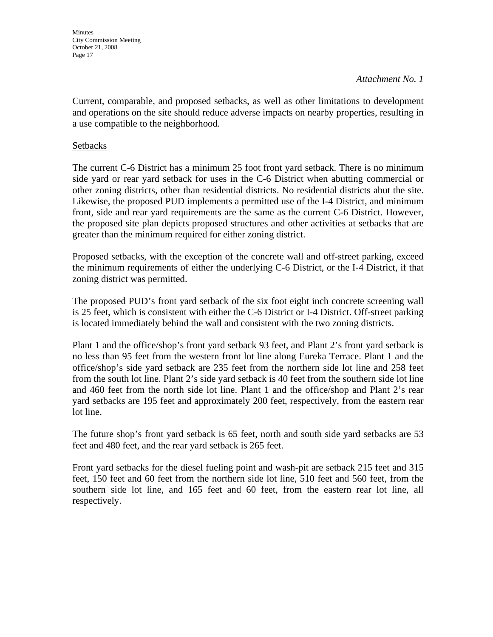**Minutes** City Commission Meeting October 21, 2008 Page 17

#### *Attachment No. 1*

Current, comparable, and proposed setbacks, as well as other limitations to development and operations on the site should reduce adverse impacts on nearby properties, resulting in a use compatible to the neighborhood.

#### **Setbacks**

The current C-6 District has a minimum 25 foot front yard setback. There is no minimum side yard or rear yard setback for uses in the C-6 District when abutting commercial or other zoning districts, other than residential districts. No residential districts abut the site. Likewise, the proposed PUD implements a permitted use of the I-4 District, and minimum front, side and rear yard requirements are the same as the current C-6 District. However, the proposed site plan depicts proposed structures and other activities at setbacks that are greater than the minimum required for either zoning district.

Proposed setbacks, with the exception of the concrete wall and off-street parking, exceed the minimum requirements of either the underlying C-6 District, or the I-4 District, if that zoning district was permitted.

The proposed PUD's front yard setback of the six foot eight inch concrete screening wall is 25 feet, which is consistent with either the C-6 District or I-4 District. Off-street parking is located immediately behind the wall and consistent with the two zoning districts.

Plant 1 and the office/shop's front yard setback 93 feet, and Plant 2's front yard setback is no less than 95 feet from the western front lot line along Eureka Terrace. Plant 1 and the office/shop's side yard setback are 235 feet from the northern side lot line and 258 feet from the south lot line. Plant 2's side yard setback is 40 feet from the southern side lot line and 460 feet from the north side lot line. Plant 1 and the office/shop and Plant 2's rear yard setbacks are 195 feet and approximately 200 feet, respectively, from the eastern rear lot line.

The future shop's front yard setback is 65 feet, north and south side yard setbacks are 53 feet and 480 feet, and the rear yard setback is 265 feet.

Front yard setbacks for the diesel fueling point and wash-pit are setback 215 feet and 315 feet, 150 feet and 60 feet from the northern side lot line, 510 feet and 560 feet, from the southern side lot line, and 165 feet and 60 feet, from the eastern rear lot line, all respectively.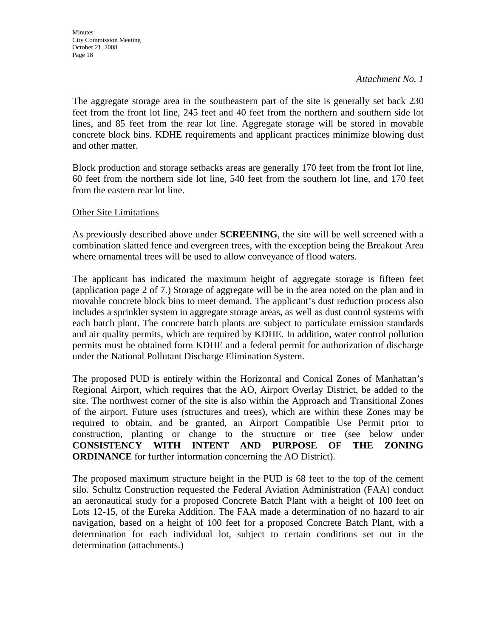The aggregate storage area in the southeastern part of the site is generally set back 230 feet from the front lot line, 245 feet and 40 feet from the northern and southern side lot lines, and 85 feet from the rear lot line. Aggregate storage will be stored in movable concrete block bins. KDHE requirements and applicant practices minimize blowing dust and other matter.

Block production and storage setbacks areas are generally 170 feet from the front lot line, 60 feet from the northern side lot line, 540 feet from the southern lot line, and 170 feet from the eastern rear lot line.

#### Other Site Limitations

As previously described above under **SCREENING**, the site will be well screened with a combination slatted fence and evergreen trees, with the exception being the Breakout Area where ornamental trees will be used to allow conveyance of flood waters.

The applicant has indicated the maximum height of aggregate storage is fifteen feet (application page 2 of 7.) Storage of aggregate will be in the area noted on the plan and in movable concrete block bins to meet demand. The applicant's dust reduction process also includes a sprinkler system in aggregate storage areas, as well as dust control systems with each batch plant. The concrete batch plants are subject to particulate emission standards and air quality permits, which are required by KDHE. In addition, water control pollution permits must be obtained form KDHE and a federal permit for authorization of discharge under the National Pollutant Discharge Elimination System.

The proposed PUD is entirely within the Horizontal and Conical Zones of Manhattan's Regional Airport, which requires that the AO, Airport Overlay District, be added to the site. The northwest corner of the site is also within the Approach and Transitional Zones of the airport. Future uses (structures and trees), which are within these Zones may be required to obtain, and be granted, an Airport Compatible Use Permit prior to construction, planting or change to the structure or tree (see below under **CONSISTENCY WITH INTENT AND PURPOSE OF THE ZONING ORDINANCE** for further information concerning the AO District).

The proposed maximum structure height in the PUD is 68 feet to the top of the cement silo. Schultz Construction requested the Federal Aviation Administration (FAA) conduct an aeronautical study for a proposed Concrete Batch Plant with a height of 100 feet on Lots 12-15, of the Eureka Addition. The FAA made a determination of no hazard to air navigation, based on a height of 100 feet for a proposed Concrete Batch Plant, with a determination for each individual lot, subject to certain conditions set out in the determination (attachments.)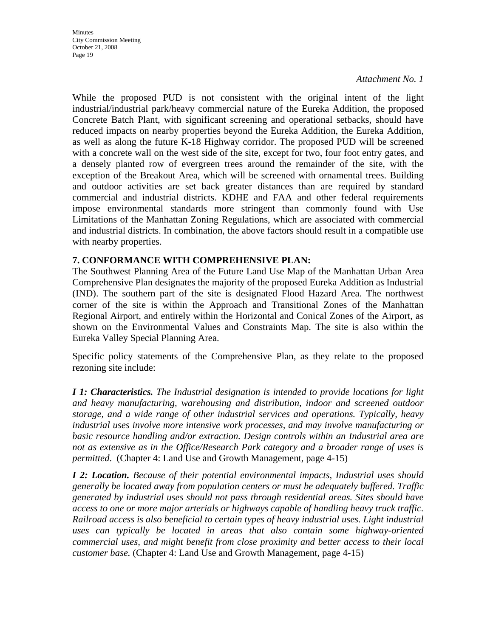While the proposed PUD is not consistent with the original intent of the light industrial/industrial park/heavy commercial nature of the Eureka Addition, the proposed Concrete Batch Plant, with significant screening and operational setbacks, should have reduced impacts on nearby properties beyond the Eureka Addition, the Eureka Addition, as well as along the future K-18 Highway corridor. The proposed PUD will be screened with a concrete wall on the west side of the site, except for two, four foot entry gates, and a densely planted row of evergreen trees around the remainder of the site, with the exception of the Breakout Area, which will be screened with ornamental trees. Building and outdoor activities are set back greater distances than are required by standard commercial and industrial districts. KDHE and FAA and other federal requirements impose environmental standards more stringent than commonly found with Use Limitations of the Manhattan Zoning Regulations, which are associated with commercial and industrial districts. In combination, the above factors should result in a compatible use with nearby properties.

### **7. CONFORMANCE WITH COMPREHENSIVE PLAN:**

The Southwest Planning Area of the Future Land Use Map of the Manhattan Urban Area Comprehensive Plan designates the majority of the proposed Eureka Addition as Industrial (IND). The southern part of the site is designated Flood Hazard Area. The northwest corner of the site is within the Approach and Transitional Zones of the Manhattan Regional Airport, and entirely within the Horizontal and Conical Zones of the Airport, as shown on the Environmental Values and Constraints Map. The site is also within the Eureka Valley Special Planning Area.

Specific policy statements of the Comprehensive Plan, as they relate to the proposed rezoning site include:

*I 1: Characteristics. The Industrial designation is intended to provide locations for light and heavy manufacturing, warehousing and distribution, indoor and screened outdoor storage, and a wide range of other industrial services and operations. Typically, heavy industrial uses involve more intensive work processes, and may involve manufacturing or basic resource handling and/or extraction. Design controls within an Industrial area are not as extensive as in the Office/Research Park category and a broader range of uses is permitted*. (Chapter 4: Land Use and Growth Management, page 4-15)

*I 2: Location. Because of their potential environmental impacts, Industrial uses should generally be located away from population centers or must be adequately buffered. Traffic generated by industrial uses should not pass through residential areas. Sites should have access to one or more major arterials or highways capable of handling heavy truck traffic. Railroad access is also beneficial to certain types of heavy industrial uses. Light industrial uses can typically be located in areas that also contain some highway-oriented commercial uses, and might benefit from close proximity and better access to their local customer base.* (Chapter 4: Land Use and Growth Management, page 4-15)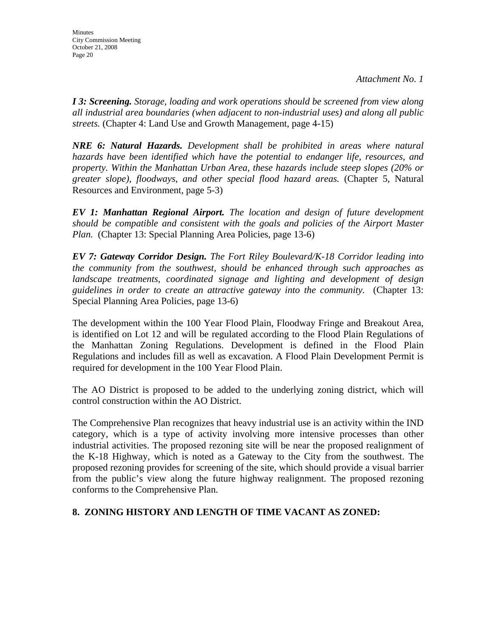*I 3: Screening. Storage, loading and work operations should be screened from view along all industrial area boundaries (when adjacent to non-industrial uses) and along all public streets.* (Chapter 4: Land Use and Growth Management, page 4-15)

*NRE 6: Natural Hazards. Development shall be prohibited in areas where natural hazards have been identified which have the potential to endanger life, resources, and property. Within the Manhattan Urban Area, these hazards include steep slopes (20% or greater slope), floodways, and other special flood hazard areas.* (Chapter 5, Natural Resources and Environment, page 5-3)

*EV 1: Manhattan Regional Airport. The location and design of future development should be compatible and consistent with the goals and policies of the Airport Master Plan.* (Chapter 13: Special Planning Area Policies, page 13-6)

*EV 7: Gateway Corridor Design. The Fort Riley Boulevard/K-18 Corridor leading into the community from the southwest, should be enhanced through such approaches as landscape treatments, coordinated signage and lighting and development of design guidelines in order to create an attractive gateway into the community.* (Chapter 13: Special Planning Area Policies, page 13-6)

The development within the 100 Year Flood Plain, Floodway Fringe and Breakout Area, is identified on Lot 12 and will be regulated according to the Flood Plain Regulations of the Manhattan Zoning Regulations. Development is defined in the Flood Plain Regulations and includes fill as well as excavation. A Flood Plain Development Permit is required for development in the 100 Year Flood Plain.

The AO District is proposed to be added to the underlying zoning district, which will control construction within the AO District.

The Comprehensive Plan recognizes that heavy industrial use is an activity within the IND category, which is a type of activity involving more intensive processes than other industrial activities. The proposed rezoning site will be near the proposed realignment of the K-18 Highway, which is noted as a Gateway to the City from the southwest. The proposed rezoning provides for screening of the site, which should provide a visual barrier from the public's view along the future highway realignment. The proposed rezoning conforms to the Comprehensive Plan.

### **8. ZONING HISTORY AND LENGTH OF TIME VACANT AS ZONED:**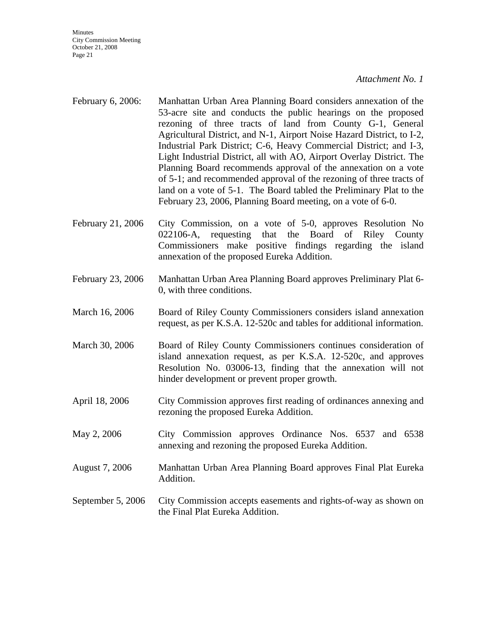**Minutes** City Commission Meeting October 21, 2008 Page 21

#### *Attachment No. 1*

- February 6, 2006: Manhattan Urban Area Planning Board considers annexation of the 53-acre site and conducts the public hearings on the proposed rezoning of three tracts of land from County G-1, General Agricultural District, and N-1, Airport Noise Hazard District, to I-2, Industrial Park District; C-6, Heavy Commercial District; and I-3, Light Industrial District, all with AO, Airport Overlay District. The Planning Board recommends approval of the annexation on a vote of 5-1; and recommended approval of the rezoning of three tracts of land on a vote of 5-1. The Board tabled the Preliminary Plat to the February 23, 2006, Planning Board meeting, on a vote of 6-0.
- February 21, 2006 City Commission, on a vote of 5-0, approves Resolution No 022106-A, requesting that the Board of Riley County Commissioners make positive findings regarding the island annexation of the proposed Eureka Addition.
- February 23, 2006 Manhattan Urban Area Planning Board approves Preliminary Plat 6- 0, with three conditions.
- March 16, 2006 Board of Riley County Commissioners considers island annexation request, as per K.S.A. 12-520c and tables for additional information.
- March 30, 2006 Board of Riley County Commissioners continues consideration of island annexation request, as per K.S.A. 12-520c, and approves Resolution No. 03006-13, finding that the annexation will not hinder development or prevent proper growth.
- April 18, 2006 City Commission approves first reading of ordinances annexing and rezoning the proposed Eureka Addition.
- May 2, 2006 City Commission approves Ordinance Nos. 6537 and 6538 annexing and rezoning the proposed Eureka Addition.
- August 7, 2006 Manhattan Urban Area Planning Board approves Final Plat Eureka Addition.
- September 5, 2006 City Commission accepts easements and rights-of-way as shown on the Final Plat Eureka Addition.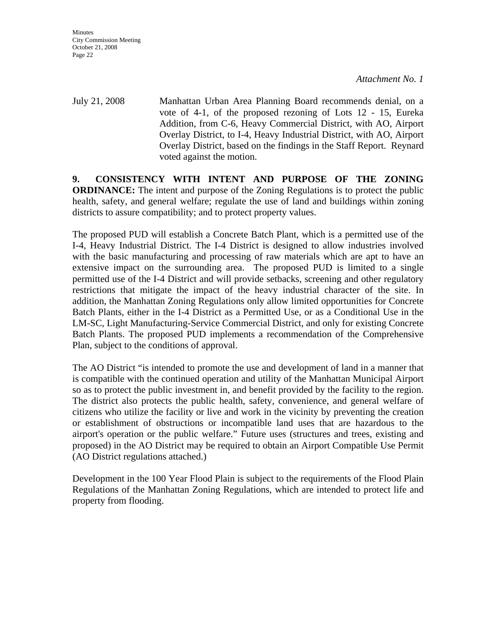**Minutes** City Commission Meeting October 21, 2008 Page 22

*Attachment No. 1* 

July 21, 2008 Manhattan Urban Area Planning Board recommends denial, on a vote of 4-1, of the proposed rezoning of Lots 12 - 15, Eureka Addition, from C-6, Heavy Commercial District, with AO, Airport Overlay District, to I-4, Heavy Industrial District, with AO, Airport Overlay District, based on the findings in the Staff Report. Reynard voted against the motion.

**9. CONSISTENCY WITH INTENT AND PURPOSE OF THE ZONING ORDINANCE:** The intent and purpose of the Zoning Regulations is to protect the public health, safety, and general welfare; regulate the use of land and buildings within zoning districts to assure compatibility; and to protect property values.

The proposed PUD will establish a Concrete Batch Plant, which is a permitted use of the I-4, Heavy Industrial District. The I-4 District is designed to allow industries involved with the basic manufacturing and processing of raw materials which are apt to have an extensive impact on the surrounding area. The proposed PUD is limited to a single permitted use of the I-4 District and will provide setbacks, screening and other regulatory restrictions that mitigate the impact of the heavy industrial character of the site. In addition, the Manhattan Zoning Regulations only allow limited opportunities for Concrete Batch Plants, either in the I-4 District as a Permitted Use, or as a Conditional Use in the LM-SC, Light Manufacturing-Service Commercial District, and only for existing Concrete Batch Plants. The proposed PUD implements a recommendation of the Comprehensive Plan, subject to the conditions of approval.

The AO District "is intended to promote the use and development of land in a manner that is compatible with the continued operation and utility of the Manhattan Municipal Airport so as to protect the public investment in, and benefit provided by the facility to the region. The district also protects the public health, safety, convenience, and general welfare of citizens who utilize the facility or live and work in the vicinity by preventing the creation or establishment of obstructions or incompatible land uses that are hazardous to the airport's operation or the public welfare." Future uses (structures and trees, existing and proposed) in the AO District may be required to obtain an Airport Compatible Use Permit (AO District regulations attached.)

Development in the 100 Year Flood Plain is subject to the requirements of the Flood Plain Regulations of the Manhattan Zoning Regulations, which are intended to protect life and property from flooding.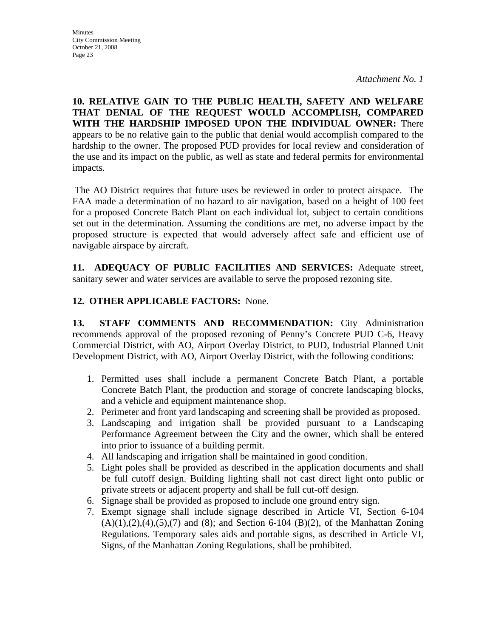**10. RELATIVE GAIN TO THE PUBLIC HEALTH, SAFETY AND WELFARE THAT DENIAL OF THE REQUEST WOULD ACCOMPLISH, COMPARED WITH THE HARDSHIP IMPOSED UPON THE INDIVIDUAL OWNER:** There appears to be no relative gain to the public that denial would accomplish compared to the hardship to the owner. The proposed PUD provides for local review and consideration of the use and its impact on the public, as well as state and federal permits for environmental impacts.

 The AO District requires that future uses be reviewed in order to protect airspace. The FAA made a determination of no hazard to air navigation, based on a height of 100 feet for a proposed Concrete Batch Plant on each individual lot, subject to certain conditions set out in the determination. Assuming the conditions are met, no adverse impact by the proposed structure is expected that would adversely affect safe and efficient use of navigable airspace by aircraft.

**11. ADEQUACY OF PUBLIC FACILITIES AND SERVICES:** Adequate street, sanitary sewer and water services are available to serve the proposed rezoning site.

### **12. OTHER APPLICABLE FACTORS:** None.

**13. STAFF COMMENTS AND RECOMMENDATION:** City Administration recommends approval of the proposed rezoning of Penny's Concrete PUD C-6, Heavy Commercial District, with AO, Airport Overlay District, to PUD, Industrial Planned Unit Development District, with AO, Airport Overlay District, with the following conditions:

- 1. Permitted uses shall include a permanent Concrete Batch Plant, a portable Concrete Batch Plant, the production and storage of concrete landscaping blocks, and a vehicle and equipment maintenance shop.
- 2. Perimeter and front yard landscaping and screening shall be provided as proposed.
- 3. Landscaping and irrigation shall be provided pursuant to a Landscaping Performance Agreement between the City and the owner, which shall be entered into prior to issuance of a building permit.
- 4. All landscaping and irrigation shall be maintained in good condition.
- 5. Light poles shall be provided as described in the application documents and shall be full cutoff design. Building lighting shall not cast direct light onto public or private streets or adjacent property and shall be full cut-off design.
- 6. Signage shall be provided as proposed to include one ground entry sign.
- 7. Exempt signage shall include signage described in Article VI, Section 6-104  $(A)(1),(2),(4),(5),(7)$  and  $(8)$ ; and Section 6-104  $(B)(2)$ , of the Manhattan Zoning Regulations. Temporary sales aids and portable signs, as described in Article VI, Signs, of the Manhattan Zoning Regulations, shall be prohibited.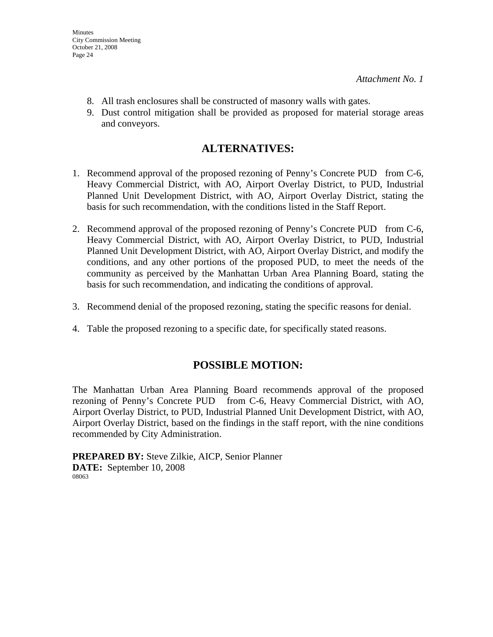- 8. All trash enclosures shall be constructed of masonry walls with gates.
- 9. Dust control mitigation shall be provided as proposed for material storage areas and conveyors.

### **ALTERNATIVES:**

- 1. Recommend approval of the proposed rezoning of Penny's Concrete PUD from C-6, Heavy Commercial District, with AO, Airport Overlay District, to PUD, Industrial Planned Unit Development District, with AO, Airport Overlay District, stating the basis for such recommendation, with the conditions listed in the Staff Report.
- 2. Recommend approval of the proposed rezoning of Penny's Concrete PUD from C-6, Heavy Commercial District, with AO, Airport Overlay District, to PUD, Industrial Planned Unit Development District, with AO, Airport Overlay District, and modify the conditions, and any other portions of the proposed PUD, to meet the needs of the community as perceived by the Manhattan Urban Area Planning Board, stating the basis for such recommendation, and indicating the conditions of approval.
- 3. Recommend denial of the proposed rezoning, stating the specific reasons for denial.
- 4. Table the proposed rezoning to a specific date, for specifically stated reasons.

### **POSSIBLE MOTION:**

The Manhattan Urban Area Planning Board recommends approval of the proposed rezoning of Penny's Concrete PUD from C-6, Heavy Commercial District, with AO, Airport Overlay District, to PUD, Industrial Planned Unit Development District, with AO, Airport Overlay District, based on the findings in the staff report, with the nine conditions recommended by City Administration.

**PREPARED BY:** Steve Zilkie, AICP, Senior Planner **DATE:** September 10, 2008 08063